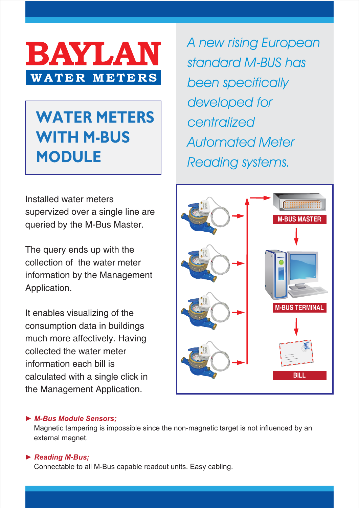

# **WATER METERS WITH M-BUS MODULE**

Installed water meters supervized over a single line are

queried by the M-Bus Master. The query ends up with the

collection of the water meter information by the Management Application.

It enables visualizing of the consumption data in buildings much more affectively. Having collected the water meter information each bill is calculated with a single click in the Management Application.

A new rising European standard M-BUS has been specifically developed for centralized Automated Meter Reading systems.



## *► M-Bus Module Sensors;*

Magnetic tampering is impossible since the non-magnetic target is not influenced by an external magnet.

## *► Reading M-Bus;*

Connectable to all M-Bus capable readout units. Easy cabling.